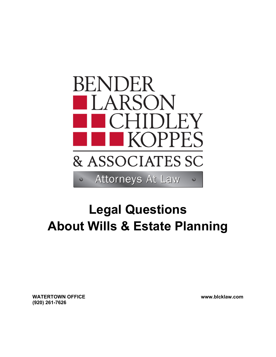

## **Legal Questions About Wills & Estate Planning**

**WATERTOWN OFFICE (920) 261-7626** 

**www.blcklaw.com**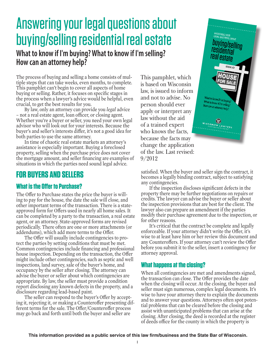# Answering your legal questions about buying/selling residential real estate

What to know if I'm buying? What to know if I'm selling? How can an attorney help?

The process of buying and selling a home consists of multiple steps that can take weeks, even months, to complete. This pamphlet can't begin to cover all aspects of home buying or selling. Rather, it focuses on specific stages in the process when a lawyer's advice would be helpful, even crucial, to get the best results for you.

By law, only an attorney can provide you *legal* advice - not a real estate agent, loan officer, or closing agent. Whether you're a buyer or seller, you need your own legal advisor who will look out for your interests. Because the buyer's and seller's interests differ, it's not a good idea for both parties to use the same attorney.

In time of chaotic real estate markets an attorney's assistance is especially important. Buying a foreclosed property, selling when the purchase price does not cover the mortgage amount, and seller financing are examples of situations in which the parties need sound legal advice.

## **FOR BUYERS AND SELLERS**

#### **What is the Offer to Purchase?**

The Offer to Purchase states the price the buyer is willing to pay for the house, the date the sale will close, and other important terms of the transaction. There is a stateapproved form for Offers used in nearly all home sales. It can be completed by a party to the transaction, a real estate agent, or an attorney. State-approved forms are revised periodically. There often are one or more attachments (or addendums), which add more terms to the Offer.

The Offer will usually include contingencies to protect the parties by setting conditions that must be met. Common contingencies include financing and professional house inspection. Depending on the transaction, the Offer might include other contingencies, such as septic and well inspections, land survey, sale of the buyer's home, and occupancy by the seller after closing. The attorney can advise the buyer or seller about which contingencies are appropriate. By law, the seller must provide a condition report disclosing any known defects in the property, and a disclosure regarding lead-based paint.

The seller can respond to the buyer's Offer by accepting it, rejecting it, or making a Counteroffer presenting different terms for the sale. The Offer/Counteroffer process may go back and forth until both the buyer and seller are

This pamphlet, which is based on Wisconsin law, is issued to inform and not to advise. No person should ever apply or interpret any law without the aid of a trained expert who knows the facts, because the facts may change the application of the law. Last revised:  $9/2012$ 



satisfied. When the buyer and seller sign the contract, it becomes a legally binding contract, subject to satisfying any contingencies.

If the inspection discloses significant defects in the property there may be further negotiations on repairs or credits. The lawyer can advise the buyer or seller about the inspection provisions that are best for the client. The lawyer also can prepare an amendment if the parties modify their purchase agreement due to the inspection, or for other reasons.

It's critical that the contract be complete and legally enforceable. If your attorney didn't write the Offer, it's wise to at least have him or her review this document and any Counteroffers. If your attorney can't review the Offer before you submit it to the seller, insert a contingency for attorney approval.

#### What happens at the closing?

When all contingencies are met and amendments signed, the transaction can close. The Offer provides the date when the closing will occur. At the closing, the buyer and seller must sign numerous, complex legal documents. It's wise to have your attorney there to explain the documents and to answer your questions. Attorneys often spot potential problems that can be cleared before the closing and assist with unanticipated problems that can arise at the closing. After closing, the deed is recorded at the register of deeds office for the county in which the property is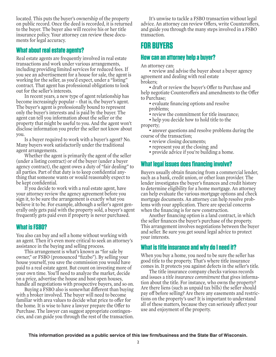located. This puts the buyer's ownership of the property on public record. Once the deed is recorded, it is returned to the buyer. The buyer also will receive his or her title insurance policy. Your attorney can review these documents for legal accuracy.

#### **What about real estate agents?**

Real estate agents are frequently involved in real estate transactions and work under various arrangements, including providing limited services for reduced fees. If you see an advertisement for a house for sale, the agent is working for the seller, as you'd expect, under a "listing" contract. That agent has professional obligations to look out for the seller's interests.

In recent years, a new type of agent relationship has become increasingly popular – that is, the buyer's agent. The buyer's agent is professionally bound to represent only the buyer's interests and is paid by the buyer. The agent can tell you information about the seller or the property that might be useful to you. And the agent won't disclose information you prefer the seller not know about you.

Is a buyer required to work with a buyer's agent? No. Many buyers work satisfactorily under the traditional agent arrangements.

Whether the agent is primarily the agent of the seller (under a listing contract) or of the buyer (under a buyer agency contract), the agent owes a duty of "fair dealing" to all parties. Part of that duty is to keep confidential anything that someone wants or would reasonably expect to be kept confidential.

If you decide to work with a real estate agent, have your attorney review the agency agreement before you sign it, to be sure the arrangement is exactly what you believe it to be. For example, although a seller's agent generally only gets paid with the property sold, a buyer's agent frequently gets paid even if property is never purchased.

#### **What is FSBO?**

You also can buy and sell a home without working with an agent. Then it's even more critical to seek an attorney's assistance in the buying and selling process.

This arrangement is what's known as "for sale by owner," or FSBO (pronounced "fizzbo"). By selling your house yourself, you save the commission you would have paid to a real estate agent. But count on investing more of your own time. You'll need to analyze the market, decide on a price, advertise the house and host open houses, handle all negotiations with prospective buyers, and so on.

Buying a FSBO also is somewhat diferent than buying with a broker involved. The buyer will need to become familiar with area values to decide what price to offer for the home. It is wise to have a lawyer prepare the Offer to Purchase. The lawyer can suggest appropriate contingencies, and can guide you through the rest of the transaction.

It's unwise to tackle a FSBO transaction without legal advice. An attorney can review Offers, write Counteroffers, and guide you through the many steps involved in a FSBO transaction.

### **FOR BUYERS**

#### **How can an attorney help a buyer?**

An attorney can:

• review and advise the buver about a buver agency agreement and dealing with real estate brokers;

• draft or review the buver's Offer to Purchase and help negotiate Counteroffers and amendments to the Offer to Purchase;

- evaluate financing options and resolve problems;
- review the commitment for title insurance:
- help you decide how to hold title to the property;

• answer questions and resolve problems during the course of the transaction;

- review closing documents;
- represent you at the closing; and
- provide advice if you're building a home.

#### **What legal issues does financing involve?**

Buyers usually obtain financing from a commercial lender, such as a bank, credit union, or other loan provider. The lender investigates the buyer's finances and credit history to determine eligibility for a home mortgage. An attorney can help evaluate the various mortgage options and check mortgage documents. An attorney can help resolve problems with your application. There are special concerns when the financing is for new construction.

Another financing option is a land contract, in which the seller finances the buyer's purchase of the property. This arrangement involves negotiations between the buyer and seller. Be sure you get sound legal advice to protect your interests.

#### **What is title insurance and why do I need it?**

When you buy a home, you need to be sure the seller has good title to the property. That's where title insurance comes in. It protects you against defects in the seller's title.

The title insurance company checks various records and issues a *title insurance commitment* that gives information about the title. For instance, who owns the property? Are there liens (such as unpaid tax bills) the seller should pay of before selling? Are there any easements and restrictions on the property's use? It is important to understand all of these matters, because they can seriously afect your use and enjoyment of the property.

**This information provided as a public service of this law firm/business and the State Bar of Wisconsin.**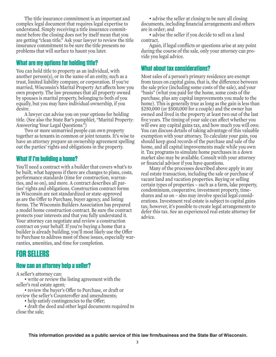The title insurance commitment is an important and complex legal document that requires legal expertise to understand. Simply receiving a title insurance commitment before the closing does not by itself mean that you are getting "clean title." Ask your lawyer to review the title insurance commitment to be sure the title presents no problems that will surface to haunt you later.

#### **What are my options for holding title?**

You can hold title to property as an individual, with another person(s), or in the name of an entity, such as a trust, limited liability company, or corporation. If you're married, Wisconsin's Marital Property Act affects how you own property. The law presumes that all property owned by spouses is marital property, belonging to both of you equally, but you may have individual ownership, if you desire.

A lawyer can advise you on your options for holding title. (See also the State Bar's pamphlet, "Marital Property: Answering Your Legal Questions.")

Two or more unmarried people can own property together as tenants in common or joint tenants. It's wise to have an attorney prepare an ownership agreement spelling out the parties' rights and obligations in the property.

#### **What if I'm building a home?**

You'll need a contract with a builder that covers what's to be built, what happens if there are changes to plans, costs, performance standards (time for construction, warranties, and so on), and more. A contract describes all parties' rights and obligations. Construction contract forms in Wisconsin are not standardized or state-approved as are the Offer to Purchase, buyer agency, and listing forms. The Wisconsin Builders Association has prepared a model home construction contract. Be sure the contract protects your interests and that you fully understand it. Your attorney can negotiate and review a construction contract on your behalf. If you're buying a home that a builder is already building, you'll most likely use the Offer to Purchase to address most of these issues, especially warranties, amenities, and time for completion.

### **FOR SELLERS**

#### **How can an attorney help a seller?**

A seller's attorney can:

• write or review the listing agreement with the seller's real estate agent;

• review the buver's Offer to Purchase, or draft or review the seller's Counteroffer and amendments:

• help satisfy contingencies to the Offer.

• draft the deed and other legal documents required to close the sale;

• advise the seller at closing to be sure all closing. documents, including financial arrangements and others are in order; and

• advise the seller if you decide to sell on a land contract.

Again, if legal conflicts or questions arise at any point during the course of the sale, only your attorney can provide you legal advice.

#### **What about tax considerations?**

Most sales of a person's primary residence are exempt from taxes on capital gains, that is, the diference between the sale price (including some costs of the sale), and your "basis" (what you paid for the home, some costs of the purchase, plus any capital improvements you made to the home). This is generally true as long as the gain is less than \$250,000 (or \$500,000 for a couple) and the owner has owned and lived in the property at least two out of the last five years. The timing of your sale can affect whether you will owe any capital gains tax, and how much you will owe. You can discuss details of taking advantage of this valuable exemption with your attorney. To calculate your gain, you should keep good records of the purchase and sale of the home, and all capital improvements made while you own it. Tax programs to simulate home purchases in a down market also may be available. Consult with your attorney or financial advisor if you have questions.

Many of the processes described above apply in any real estate transaction, including the sale or purchase of vacant land and vacation properties. Buying or selling certain types of properties – such as a farm, lake property, condominium, cooperative, investment property, timeshares and so on – also may involve special legal considerations. Investment real estate is subject to capital gains tax; however, it's possible to create legal arrangements to defer this tax. See an experienced real estate attorney for advice.

**This information provided as a public service of this law firm/business and the State Bar of Wisconsin.**